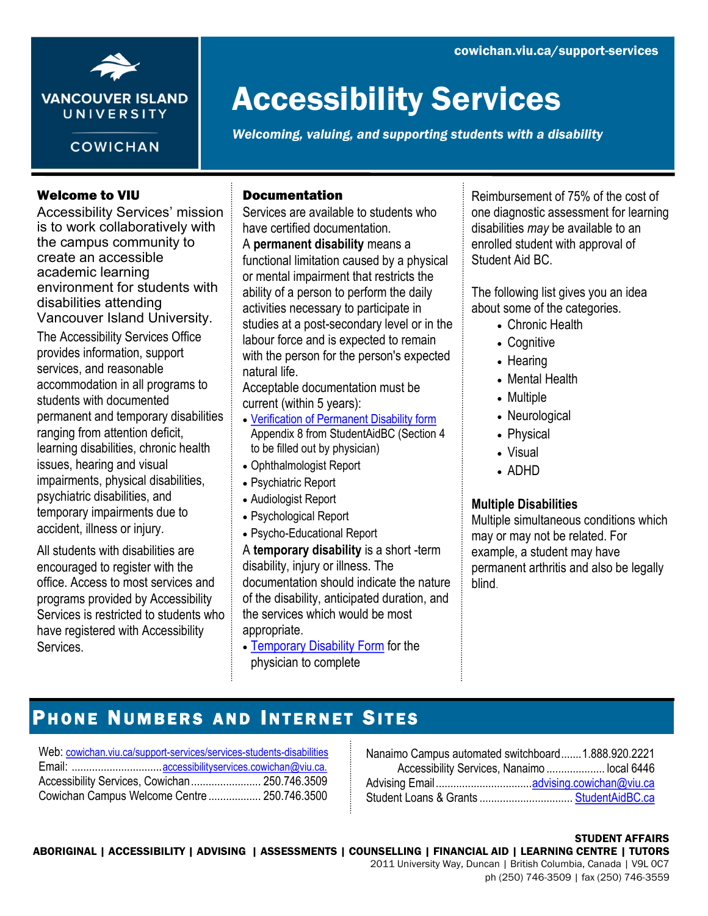

#### **VANCOUVER ISLAND** UNIVERSITY

**COWICHAN** 

## Welcome to VIU

Accessibility Services' mission is to work collaboratively with the campus community to create an accessible academic learning environment for students with disabilities attending Vancouver Island University.

The Accessibility Services Office provides information, support services, and reasonable accommodation in all programs to students with documented permanent and temporary disabilities ranging from attention deficit, learning disabilities, chronic health issues, hearing and visual impairments, physical disabilities, psychiatric disabilities, and temporary impairments due to accident, illness or injury.

All students with disabilities are encouraged to register with the office. Access to most services and programs provided by Accessibility Services is restricted to students who have registered with Accessibility Services.

## **Documentation**

Services are available to students who have certified documentation.

Accessibility Services

*Welcoming, valuing, and supporting students with a disability*

A **permanent disability** means a functional limitation caused by a physical or mental impairment that restricts the ability of a person to perform the daily activities necessary to participate in studies at a post-secondary level or in the labour force and is expected to remain with the person for the person's expected natural life.

Acceptable documentation must be current (within 5 years):

- [Verification of Permanent Disability form](https://studentaidbc.ca/sites/all/files/form-library/appendix_8.pdf) Appendix 8 from StudentAidBC (Section 4 to be filled out by physician)
- Ophthalmologist Report
- Psychiatric Report
- Audiologist Report
- Psychological Report
- Psycho-Educational Report

A **temporary disability** is a short -term disability, injury or illness. The documentation should indicate the nature of the disability, anticipated duration, and the services which would be most appropriate.

 [Temporary Disability Form](https://cowichan.viu.ca/sites/default/files/2018-verification-of-temporary-disability.pdf) for the physician to complete

Reimbursement of 75% of the cost of one diagnostic assessment for learning disabilities *may* be available to an enrolled student with approval of Student Aid BC.

The following list gives you an idea about some of the categories.

- Chronic Health
- Cognitive
- Hearing
- Mental Health
- Multiple
- Neurological
- Physical
- Visual
- ADHD

### **Multiple Disabilities**

Multiple simultaneous conditions which may or may not be related. For example, a student may have permanent arthritis and also be legally blind.

# PHONE NUMBERS AND INTERNET SITES

| Web: cowichan.viu.ca/support-services/services-students-disabilities |                                               |  |
|----------------------------------------------------------------------|-----------------------------------------------|--|
|                                                                      |                                               |  |
|                                                                      | Accessibility Services, Cowichan 250.746.3509 |  |
|                                                                      | Cowichan Campus Welcome Centre  250.746.3500  |  |

| Nanaimo Campus automated switchboard1.888.920.2221 |  |
|----------------------------------------------------|--|
| Accessibility Services, Nanaimo  local 6446        |  |
|                                                    |  |
|                                                    |  |

STUDENT AFFAIRS ABORIGINAL | ACCESSIBILITY | ADVISING | ASSESSMENTS | COUNSELLING | FINANCIAL AID | LEARNING CENTRE | TUTORS 2011 University Way, Duncan | British Columbia, Canada | V9L 0C7 ph (250) 746-3509 | fax (250) 746-3559